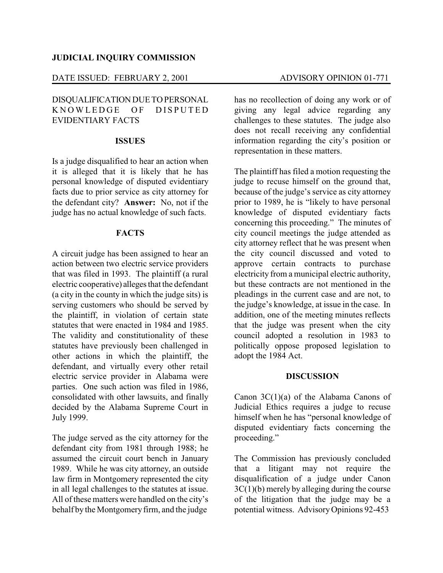### DATE ISSUED: FEBRUARY 2, 2001 ADVISORY OPINION 01-771

## DISQUALIFICATION DUE TOPERSONAL KNOWLEDGE OF DISPUTED EVIDENTIARY FACTS

#### **ISSUES**

Is a judge disqualified to hear an action when it is alleged that it is likely that he has personal knowledge of disputed evidentiary facts due to prior service as city attorney for the defendant city? **Answer:** No, not if the judge has no actual knowledge of such facts.

#### **FACTS**

A circuit judge has been assigned to hear an action between two electric service providers that was filed in 1993. The plaintiff (a rural electric cooperative) alleges that the defendant (a city in the county in which the judge sits) is serving customers who should be served by the plaintiff, in violation of certain state statutes that were enacted in 1984 and 1985. The validity and constitutionality of these statutes have previously been challenged in other actions in which the plaintiff, the defendant, and virtually every other retail electric service provider in Alabama were parties. One such action was filed in 1986, consolidated with other lawsuits, and finally decided by the Alabama Supreme Court in July 1999.

The judge served as the city attorney for the defendant city from 1981 through 1988; he assumed the circuit court bench in January 1989. While he was city attorney, an outside law firm in Montgomery represented the city in all legal challenges to the statutes at issue. All of these matters were handled on the city's behalf by the Montgomeryfirm, and the judge

has no recollection of doing any work or of giving any legal advice regarding any challenges to these statutes. The judge also does not recall receiving any confidential information regarding the city's position or representation in these matters.

The plaintiff has filed a motion requesting the judge to recuse himself on the ground that, because of the judge's service as city attorney prior to 1989, he is "likely to have personal knowledge of disputed evidentiary facts concerning this proceeding." The minutes of city council meetings the judge attended as city attorney reflect that he was present when the city council discussed and voted to approve certain contracts to purchase electricity from a municipal electric authority, but these contracts are not mentioned in the pleadings in the current case and are not, to the judge's knowledge, at issue in the case. In addition, one of the meeting minutes reflects that the judge was present when the city council adopted a resolution in 1983 to politically oppose proposed legislation to adopt the 1984 Act.

#### **DISCUSSION**

Canon 3C(1)(a) of the Alabama Canons of Judicial Ethics requires a judge to recuse himself when he has "personal knowledge of disputed evidentiary facts concerning the proceeding."

The Commission has previously concluded that a litigant may not require the disqualification of a judge under Canon 3C(1)(b) merely by alleging during the course of the litigation that the judge may be a potential witness. AdvisoryOpinions 92-453